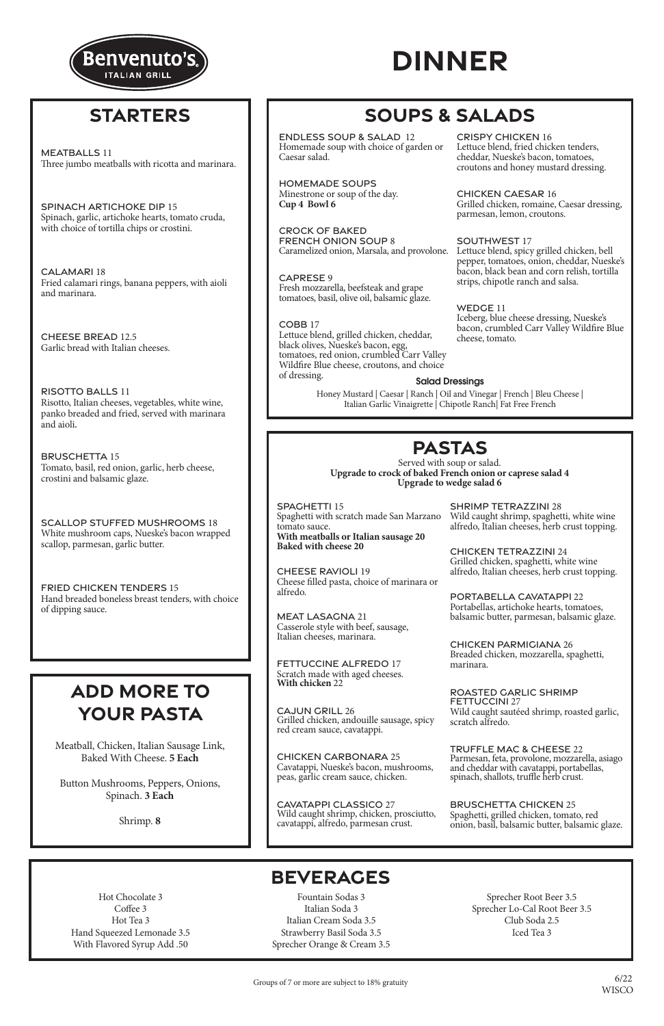## **PASTAS**

Served with soup or salad. **Upgrade to crock of baked French onion or caprese salad 4 Upgrade to wedge salad 6**

### **BEVERAGES**

Hot Chocolate 3 Coffee 3 Hot Tea 3 Hand Squeezed Lemonade 3.5 With Flavored Syrup Add .50

Fountain Sodas 3 Italian Soda 3 Italian Cream Soda 3.5 Strawberry Basil Soda 3.5 Sprecher Orange & Cream 3.5

Sprecher Root Beer 3.5 Sprecher Lo-Cal Root Beer 3.5 Club Soda 2.5 Iced Tea 3

Groups of 7 or more are subject to 18% gratuity



# **DINNER**

SHRIMP TETRAZZINI 28 Wild caught shrimp, spaghetti, white wine SHRIMP TETRAZZINI 28<br>Wild caught shrimp, spaghetti, white wine<br>alfredo, Italian cheeses, herb crust topping.

PORTABELLA CAVATAPPI 22 Portabellas, artichoke hearts, tomatoes, PORTABELLA CAVATAPPI 22<br>Portabellas, artichoke hearts, tomatoes,<br>balsamic butter, parmesan, balsamic glaze.

CHICKEN PARMIGIANA 26 Breaded chicken, mozzarella, spaghetti, marinara. CHICKEN PARMIGIANA 26<br>Breaded chicken, mozzarella, spaghetti,<br>marinara.

ROASTED GARLIC SHRIMP FETTUCCINI 27 Wild caught sautéed shrimp, roasted garlic, scratch alfredo. ROASTED GARLIC SHRIMP<br>FETTUCCINI 27<br>Wild caught sautéed shrimp, roasted garlic,<br>scratch alfredo.

Parmesan, feta, provolone, mozzarella, asiago and cheddar with cavatappi, portabellas, spinach, shallots, truffle herb crust. TRUFFLE MAC & CHEESE 22<br>Parmesan, feta, provolone, mozzarella, asiago<br>and cheddar with cavatappi, portabellas,<br>spinach, shallots, truffle herb crust.

BRUSCHETTA CHICKEN 25 Spaghetti, grilled chicken, tomato, red onion, basil, balsamic butter, balsamic glaze.

RISOTTO BALLS 11 RISOTTO BALLS 11 Risotto, Italian cheeses, vegetables, white wine, Risotto, Italian cheeses, vegetables, white wine, panko breaded and fried, served with marinara panko breaded and fried, served with marinara and aioli.

TRUFFLE MAC & CHEESE 22

Meatball, Chicken, Italian Sausage Link,

Baked With Cheese. **5 Each**

Button Mushrooms, Peppers, Onions, Spinach. **3 Each**

Shrimp. **8**

## **ADD MORE TO YOUR PASTA**

## **STARTERS**

Tomato, basil, red onion, garlic, herb cheese, crostini and balsamic glaze. BRUSCHETTA 15

scallop, parmesan, garlic butter. SCALLOP STUFFED MUSHROOMS 18 White mushroom caps, Nueske's bacon wrapped

of dipping sauce. FRIED CHICKEN TENDERS 15 Hand breaded boneless breast tenders, with choice Honey Mustard | Caesar | Ranch | Oil and Vinegar | French | Bleu Cheese | Italian Garlic Vinaigrette | Chipotle Ranch| Fat Free French

## **SOUPS & SALADS**

### CRISPY CHICKEN 16

Lettuce blend, fried chicken tenders, cheddar, Nueske's bacon, tomatoes, croutons and honey mustard dressing.

MEATBALLS 11 MEATBALLS II<br>Three jumped with ricotta and marinara. MEATBALLS 11 Three jumbo meatballs with ricotta and marinara.

SPINACH ARTICHOKE DIP 15 SPINACH ARTICHOKE DIP 15 Spinach, garlic, artichoke hearts, tomato cruda, Spinach, garlic, artichoke hearts, tomato cruda, with choice of tortilla chips or crostini. with choice of tortilla chips or crostini.

CHICKEN CAESAR 16 Grilled chicken, romaine, Caesar dressing, parmesan, lemon, croutons.

CHEESE RAVIOLI 19 Cheese filled pasta, choice of marinara or alfredo.

MEAT LASAGNA 21 Casserole style with beef, sausage, Italian cheeses, marinara.

### SOUTHWEST 17

FETTUCCINE ALFREDO 17 Scratch made with aged cheeses. **With chicken** 22

CALAMARI 18 CALAMARI 18 Fried calamari rings, banana peppers, with aioli Fried calamari rings, banana peppers, with aioli and marinara. and marinara.

> CAJUN GRILL 26 Grilled chicken, andouille sausage, spicy red cream sauce, cavatappi.

Lettuce blend, spicy grilled chicken, bell pepper, tomatoes, onion, cheddar, Nueske's bacon, black bean and corn relish, tortilla strips, chipotle ranch and salsa.

CHEESE BREAD 12.5 Garlic bread with Italian cheeses. Garlic bread with Italian cheeses.

> CHICKEN CARBONARA 25 Cavatappi, Nueske's bacon, mushrooms, peas, garlic cream sauce, chicken.

SPAGHETTI 15 Spaghetti with scratch made San Marzano tomato sauce. **With meatballs or Italian sausage 20** SPAGHETTI 15<br>Spaghetti with scratch made San Marzano<br>tomato sauce.<br>**With meatballs or Italian sausage 20 Baked with cheese 20**

CAVATAPPI CLASSICO 27 Wild caught shrimp, chicken, prosciutto, cavatappi, alfredo, parmesan crust.

WEDGE 11 Iceberg, blue cheese dressing, Nueske's bacon, crumbled Carr Valley Wildfire Blue cheese, tomato.

ENDLESS SOUP & SALAD 12 Homemade soup with choice of garden or Caesar salad.

HOMEMADE SOUPS Minestrone or soup of the day. **Cup 4 Bowl 6** 

CROCK OF BAKED FRENCH ONION SOUP 8 Caramelized onion, Marsala, and provolone.

CAPRESE 9 Fresh mozzarella, beefsteak and grape tomatoes, basil, olive oil, balsamic glaze.

### Salad Dressings Salad Dressings

#### COBB 17 Lettuce blend, grilled chicken, cheddar, black olives, Nueske's bacon, egg, tomatoes, red onion, crumbled Carr Valley Wildfire Blue cheese, croutons, and choice of dressing.

CHICKEN TETRAZZINI 24 Grilled chicken, spaghetti, white wine alfredo, Italian cheeses, herb crust topping. CHICKEN TETRAZZINI 24Grilled chicken, spaghetti, white wine alfredo, Italian cheeses, herb crust topping.